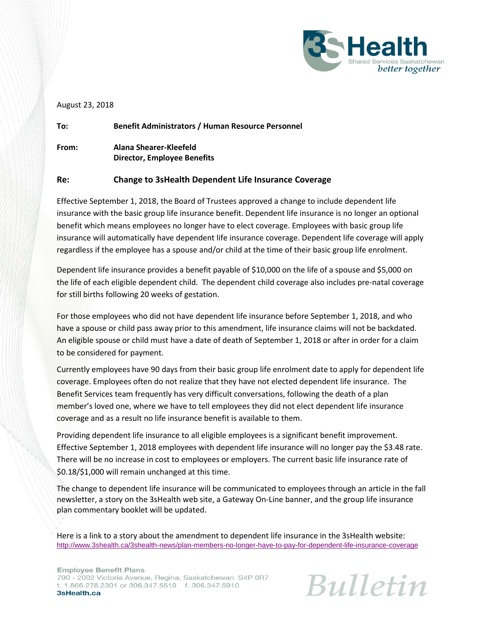

#### August 23, 2018

**To: Benefit Administrators / Human Resource Personnel From: Alana Shearer-Kleefeld Director, Employee Benefits**

#### **Re: Change to 3sHealth Dependent Life Insurance Coverage**

Effective September 1, 2018, the Board of Trustees approved a change to include dependent life insurance with the basic group life insurance benefit. Dependent life insurance is no longer an optional benefit which means employees no longer have to elect coverage. Employees with basic group life insurance will automatically have dependent life insurance coverage. Dependent life coverage will apply regardless if the employee has a spouse and/or child at the time of their basic group life enrolment.

Dependent life insurance provides a benefit payable of \$10,000 on the life of a spouse and \$5,000 on the life of each eligible dependent child. The dependent child coverage also includes pre-natal coverage for still births following 20 weeks of gestation.

For those employees who did not have dependent life insurance before September 1, 2018, and who have a spouse or child pass away prior to this amendment, life insurance claims will not be backdated. An eligible spouse or child must have a date of death of September 1, 2018 or after in order for a claim to be considered for payment.

Currently employees have 90 days from their basic group life enrolment date to apply for dependent life coverage. Employees often do not realize that they have not elected dependent life insurance. The Benefit Services team frequently has very difficult conversations, following the death of a plan member's loved one, where we have to tell employees they did not elect dependent life insurance coverage and as a result no life insurance benefit is available to them.

Providing dependent life insurance to all eligible employees is a significant benefit improvement. Effective September 1, 2018 employees with dependent life insurance will no longer pay the \$3.48 rate. There will be no increase in cost to employees or employers. The current basic life insurance rate of \$0.18/\$1,000 will remain unchanged at this time.

The change to dependent life insurance will be communicated to employees through an article in the fall newsletter, a story on the 3sHealth web site, a Gateway On-Line banner, and the group life insurance plan commentary booklet will be updated.

Here is a link to a story about the amendment to dependent life insurance in the 3sHealth website: <http://www.3shealth.ca/3shealth-news/plan-members-no-longer-have-to-pay-for-dependent-life-insurance-coverage>

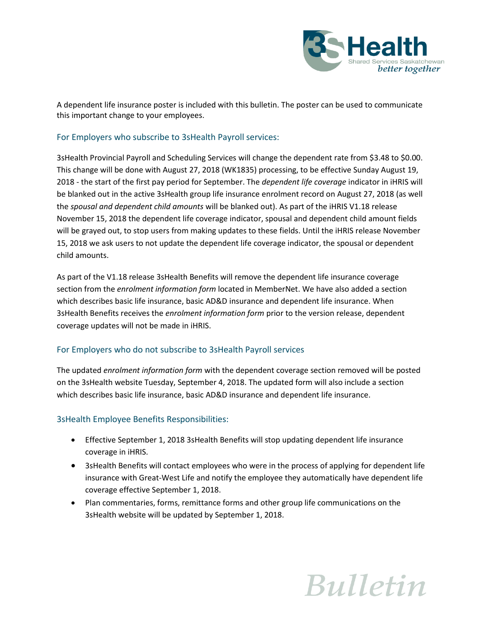

A dependent life insurance poster is included with this bulletin. The poster can be used to communicate this important change to your employees.

## For Employers who subscribe to 3sHealth Payroll services:

3sHealth Provincial Payroll and Scheduling Services will change the dependent rate from \$3.48 to \$0.00. This change will be done with August 27, 2018 (WK1835) processing, to be effective Sunday August 19, 2018 - the start of the first pay period for September. The *dependent life coverage* indicator in iHRIS will be blanked out in the active 3sHealth group life insurance enrolment record on August 27, 2018 (as well the *spousal and dependent child amounts* will be blanked out). As part of the iHRIS V1.18 release November 15, 2018 the dependent life coverage indicator, spousal and dependent child amount fields will be grayed out, to stop users from making updates to these fields. Until the iHRIS release November 15, 2018 we ask users to not update the dependent life coverage indicator, the spousal or dependent child amounts.

As part of the V1.18 release 3sHealth Benefits will remove the dependent life insurance coverage section from the *enrolment information form* located in MemberNet. We have also added a section which describes basic life insurance, basic AD&D insurance and dependent life insurance. When 3sHealth Benefits receives the *enrolment information form* prior to the version release, dependent coverage updates will not be made in iHRIS.

## For Employers who do not subscribe to 3sHealth Payroll services

The updated *enrolment information form* with the dependent coverage section removed will be posted on the 3sHealth website Tuesday, September 4, 2018. The updated form will also include a section which describes basic life insurance, basic AD&D insurance and dependent life insurance.

## 3sHealth Employee Benefits Responsibilities:

- Effective September 1, 2018 3sHealth Benefits will stop updating dependent life insurance coverage in iHRIS.
- 3sHealth Benefits will contact employees who were in the process of applying for dependent life insurance with Great-West Life and notify the employee they automatically have dependent life coverage effective September 1, 2018.
- Plan commentaries, forms, remittance forms and other group life communications on the 3sHealth website will be updated by September 1, 2018.

# **Bulletin**